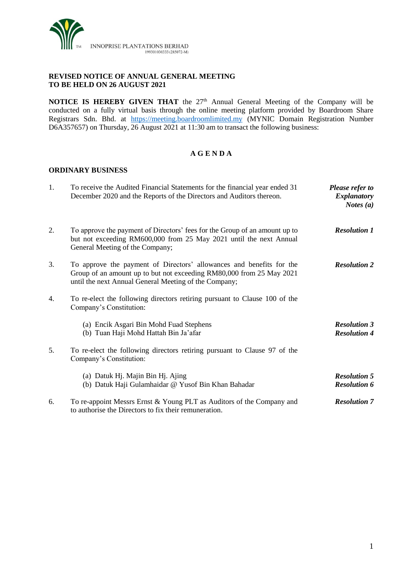

### **REVISED NOTICE OF ANNUAL GENERAL MEETING TO BE HELD ON 26 AUGUST 2021**

**NOTICE IS HEREBY GIVEN THAT** the 27<sup>th</sup> Annual General Meeting of the Company will be conducted on a fully virtual basis through the online meeting platform provided by Boardroom Share Registrars Sdn. Bhd. at [https://meeting.boardroomlimited.my](https://meeting.boardroomlimited.my/) (MYNIC Domain Registration Number D6A357657) on Thursday, 26 August 2021 at 11:30 am to transact the following business:

# **A G E N D A**

### **ORDINARY BUSINESS**

| 1. | To receive the Audited Financial Statements for the financial year ended 31<br>December 2020 and the Reports of the Directors and Auditors thereon.                                                   | Please refer to<br><b>Explanatory</b><br><i>Notes</i> $(a)$ |
|----|-------------------------------------------------------------------------------------------------------------------------------------------------------------------------------------------------------|-------------------------------------------------------------|
| 2. | To approve the payment of Directors' fees for the Group of an amount up to<br>but not exceeding RM600,000 from 25 May 2021 until the next Annual<br>General Meeting of the Company;                   | <b>Resolution 1</b>                                         |
| 3. | To approve the payment of Directors' allowances and benefits for the<br>Group of an amount up to but not exceeding RM80,000 from 25 May 2021<br>until the next Annual General Meeting of the Company; | <b>Resolution 2</b>                                         |
| 4. | To re-elect the following directors retiring pursuant to Clause 100 of the<br>Company's Constitution:                                                                                                 |                                                             |
|    | (a) Encik Asgari Bin Mohd Fuad Stephens<br>(b) Tuan Haji Mohd Hattah Bin Ja'afar                                                                                                                      | <b>Resolution 3</b><br><b>Resolution 4</b>                  |
| 5. | To re-elect the following directors retiring pursuant to Clause 97 of the<br>Company's Constitution:                                                                                                  |                                                             |
|    | (a) Datuk Hj. Majin Bin Hj. Ajing<br>(b) Datuk Haji Gulamhaidar @ Yusof Bin Khan Bahadar                                                                                                              | <b>Resolution 5</b><br><b>Resolution 6</b>                  |
| 6. | To re-appoint Messrs Ernst & Young PLT as Auditors of the Company and<br>to authorise the Directors to fix their remuneration.                                                                        | <b>Resolution 7</b>                                         |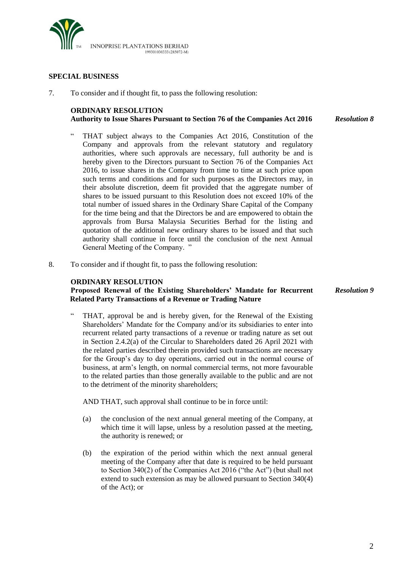

#### **SPECIAL BUSINESS**

7. To consider and if thought fit, to pass the following resolution:

#### **ORDINARY RESOLUTION Authority to Issue Shares Pursuant to Section 76 of the Companies Act 2016** *Resolution 8*

- THAT subject always to the Companies Act 2016, Constitution of the Company and approvals from the relevant statutory and regulatory authorities, where such approvals are necessary, full authority be and is hereby given to the Directors pursuant to Section 76 of the Companies Act 2016, to issue shares in the Company from time to time at such price upon such terms and conditions and for such purposes as the Directors may, in their absolute discretion, deem fit provided that the aggregate number of shares to be issued pursuant to this Resolution does not exceed 10% of the total number of issued shares in the Ordinary Share Capital of the Company for the time being and that the Directors be and are empowered to obtain the approvals from Bursa Malaysia Securities Berhad for the listing and quotation of the additional new ordinary shares to be issued and that such authority shall continue in force until the conclusion of the next Annual General Meeting of the Company. "
- 8. To consider and if thought fit, to pass the following resolution:

#### **ORDINARY RESOLUTION**

**Proposed Renewal of the Existing Shareholders' Mandate for Recurrent Related Party Transactions of a Revenue or Trading Nature**

THAT, approval be and is hereby given, for the Renewal of the Existing Shareholders' Mandate for the Company and/or its subsidiaries to enter into recurrent related party transactions of a revenue or trading nature as set out in Section 2.4.2(a) of the Circular to Shareholders dated 26 April 2021 with the related parties described therein provided such transactions are necessary for the Group's day to day operations, carried out in the normal course of business, at arm's length, on normal commercial terms, not more favourable to the related parties than those generally available to the public and are not to the detriment of the minority shareholders;

AND THAT, such approval shall continue to be in force until:

- (a) the conclusion of the next annual general meeting of the Company, at which time it will lapse, unless by a resolution passed at the meeting, the authority is renewed; or
- (b) the expiration of the period within which the next annual general meeting of the Company after that date is required to be held pursuant to Section 340(2) of the Companies Act 2016 ("the Act") (but shall not extend to such extension as may be allowed pursuant to Section 340(4) of the Act); or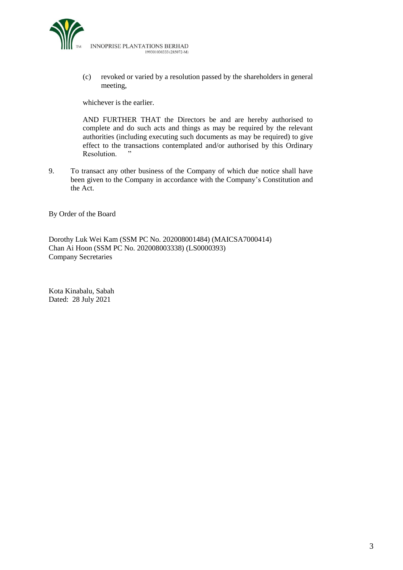

(c) revoked or varied by a resolution passed by the shareholders in general meeting,

whichever is the earlier.

AND FURTHER THAT the Directors be and are hereby authorised to complete and do such acts and things as may be required by the relevant authorities (including executing such documents as may be required) to give effect to the transactions contemplated and/or authorised by this Ordinary<br>Resolution  $\cdots$ Resolution.

9. To transact any other business of the Company of which due notice shall have been given to the Company in accordance with the Company's Constitution and the Act.

By Order of the Board

Dorothy Luk Wei Kam (SSM PC No. 202008001484) (MAICSA7000414) Chan Ai Hoon (SSM PC No. 202008003338) (LS0000393) Company Secretaries

Kota Kinabalu, Sabah Dated: 28 July 2021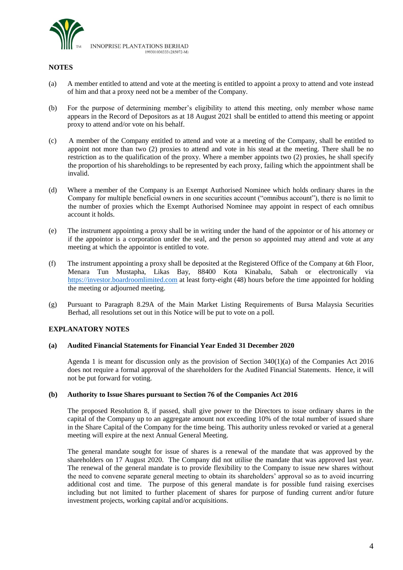

#### **NOTES**

- (a) A member entitled to attend and vote at the meeting is entitled to appoint a proxy to attend and vote instead of him and that a proxy need not be a member of the Company.
- (b) For the purpose of determining member's eligibility to attend this meeting, only member whose name appears in the Record of Depositors as at 18 August 2021 shall be entitled to attend this meeting or appoint proxy to attend and/or vote on his behalf.
- (c) A member of the Company entitled to attend and vote at a meeting of the Company, shall be entitled to appoint not more than two (2) proxies to attend and vote in his stead at the meeting. There shall be no restriction as to the qualification of the proxy. Where a member appoints two (2) proxies, he shall specify the proportion of his shareholdings to be represented by each proxy, failing which the appointment shall be invalid.
- (d) Where a member of the Company is an Exempt Authorised Nominee which holds ordinary shares in the Company for multiple beneficial owners in one securities account ("omnibus account"), there is no limit to the number of proxies which the Exempt Authorised Nominee may appoint in respect of each omnibus account it holds.
- (e) The instrument appointing a proxy shall be in writing under the hand of the appointor or of his attorney or if the appointor is a corporation under the seal, and the person so appointed may attend and vote at any meeting at which the appointor is entitled to vote.
- (f) The instrument appointing a proxy shall be deposited at the Registered Office of the Company at 6th Floor, Menara Tun Mustapha, Likas Bay, 88400 Kota Kinabalu, Sabah or electronically via [https://investor.boardroomlimited.com](https://investor.boardroomlimited.com/) at least forty-eight (48) hours before the time appointed for holding the meeting or adjourned meeting.
- (g) Pursuant to Paragraph 8.29A of the Main Market Listing Requirements of Bursa Malaysia Securities Berhad, all resolutions set out in this Notice will be put to vote on a poll.

#### **EXPLANATORY NOTES**

#### **(a) Audited Financial Statements for Financial Year Ended 31 December 2020**

Agenda 1 is meant for discussion only as the provision of Section 340(1)(a) of the Companies Act 2016 does not require a formal approval of the shareholders for the Audited Financial Statements. Hence, it will not be put forward for voting.

#### **(b) Authority to Issue Shares pursuant to Section 76 of the Companies Act 2016**

The proposed Resolution 8, if passed, shall give power to the Directors to issue ordinary shares in the capital of the Company up to an aggregate amount not exceeding 10% of the total number of issued share in the Share Capital of the Company for the time being. This authority unless revoked or varied at a general meeting will expire at the next Annual General Meeting.

The general mandate sought for issue of shares is a renewal of the mandate that was approved by the shareholders on 17 August 2020. The Company did not utilise the mandate that was approved last year. The renewal of the general mandate is to provide flexibility to the Company to issue new shares without the need to convene separate general meeting to obtain its shareholders' approval so as to avoid incurring additional cost and time. The purpose of this general mandate is for possible fund raising exercises including but not limited to further placement of shares for purpose of funding current and/or future investment projects, working capital and/or acquisitions.